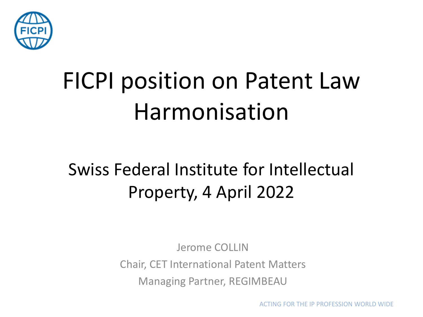

## FICPI position on Patent Law Harmonisation

#### Swiss Federal Institute for Intellectual Property, 4 April 2022

Jerome COLLIN Chair, CET International Patent Matters Managing Partner, REGIMBEAU

ACTING FOR THE IP PROFESSION WORLD WIDE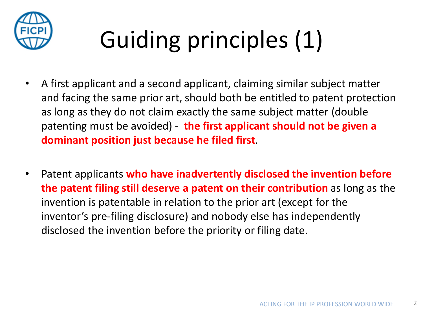

# Guiding principles (1)

- A first applicant and a second applicant, claiming similar subject matter and facing the same prior art, should both be entitled to patent protection as long as they do not claim exactly the same subject matter (double patenting must be avoided) - **the first applicant should not be given a dominant position just because he filed first**.
- Patent applicants **who have inadvertently disclosed the invention before the patent filing still deserve a patent on their contribution** as long as the invention is patentable in relation to the prior art (except for the inventor's pre-filing disclosure) and nobody else has independently disclosed the invention before the priority or filing date.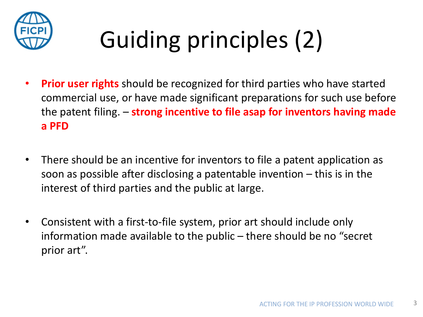

# Guiding principles (2)

- **Prior user rights** should be recognized for third parties who have started commercial use, or have made significant preparations for such use before the patent filing. – **strong incentive to file asap for inventors having made a PFD**
- There should be an incentive for inventors to file a patent application as soon as possible after disclosing a patentable invention – this is in the interest of third parties and the public at large.
- Consistent with a first-to-file system, prior art should include only information made available to the public – there should be no "secret prior art".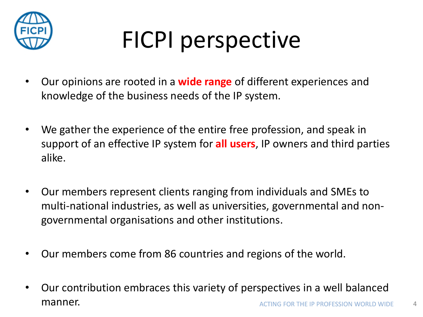

## FICPI perspective

- Our opinions are rooted in a **wide range** of different experiences and knowledge of the business needs of the IP system.
- We gather the experience of the entire free profession, and speak in support of an effective IP system for **all users**, IP owners and third parties alike.
- Our members represent clients ranging from individuals and SMEs to multi-national industries, as well as universities, governmental and nongovernmental organisations and other institutions.
- Our members come from 86 countries and regions of the world.
- **Manner.** The state of the state of the set of the set of the set of the set of the set of the set of the set of the set of the set of the set of the set of the set of the set of the set of the set of the set of the set of • Our contribution embraces this variety of perspectives in a well balanced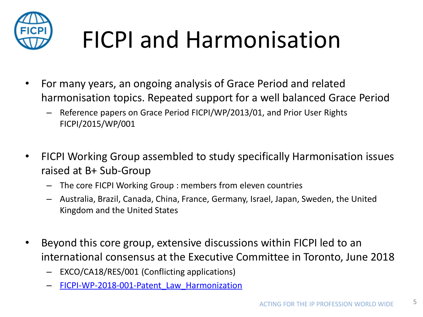

## FICPI and Harmonisation

- For many years, an ongoing analysis of Grace Period and related harmonisation topics. Repeated support for a well balanced Grace Period
	- Reference papers on Grace Period FICPI/WP/2013/01, and Prior User Rights FICPI/2015/WP/001
- FICPI Working Group assembled to study specifically Harmonisation issues raised at B+ Sub-Group
	- The core FICPI Working Group : members from eleven countries
	- Australia, Brazil, Canada, China, France, Germany, Israel, Japan, Sweden, the United Kingdom and the United States
- Beyond this core group, extensive discussions within FICPI led to an international consensus at the Executive Committee in Toronto, June 2018
	- EXCO/CA18/RES/001 (Conflicting applications)
	- [FICPI-WP-2018-001-Patent\\_Law\\_Harmonization](https://www.ficpi.org/_/uploads/gonzo/FICPI-WP-2018-001-Patent_Law_Harmonization.pdf)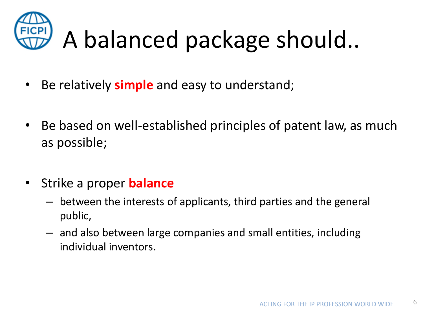# A balanced package should..

- Be relatively **simple** and easy to understand;
- Be based on well-established principles of patent law, as much as possible;
- Strike a proper **balance**
	- between the interests of applicants, third parties and the general public,
	- and also between large companies and small entities, including individual inventors.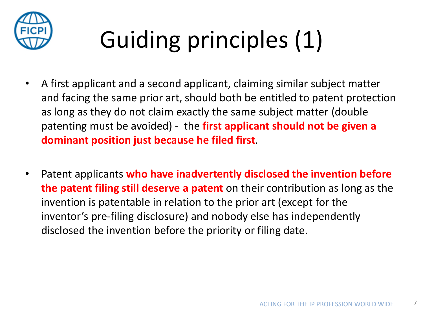

# Guiding principles (1)

- A first applicant and a second applicant, claiming similar subject matter and facing the same prior art, should both be entitled to patent protection as long as they do not claim exactly the same subject matter (double patenting must be avoided) - the **first applicant should not be given a dominant position just because he filed first**.
- Patent applicants **who have inadvertently disclosed the invention before the patent filing still deserve a patent** on their contribution as long as the invention is patentable in relation to the prior art (except for the inventor's pre-filing disclosure) and nobody else has independently disclosed the invention before the priority or filing date.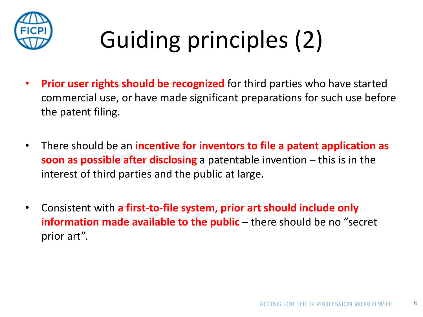

# Guiding principles (2)

- **Prior user rights should be recognized** for third parties who have started commercial use, or have made significant preparations for such use before the patent filing.
- There should be an **incentive for inventors to file a patent application as soon as possible after disclosing** a patentable invention – this is in the interest of third parties and the public at large.
- Consistent with **a first-to-file system, prior art should include only information made available to the public** – there should be no "secret prior art".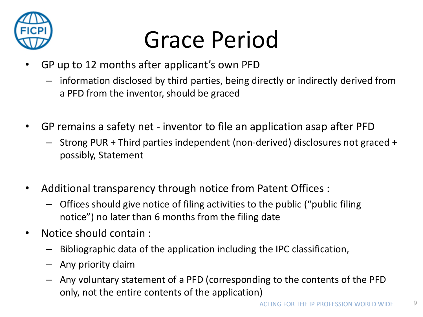

#### Grace Period

- GP up to 12 months after applicant's own PFD
	- information disclosed by third parties, being directly or indirectly derived from a PFD from the inventor, should be graced
- GP remains a safety net inventor to file an application asap after PFD
	- Strong PUR + Third parties independent (non-derived) disclosures not graced + possibly, Statement
- Additional transparency through notice from Patent Offices :
	- Offices should give notice of filing activities to the public ("public filing notice") no later than 6 months from the filing date
- Notice should contain :
	- Bibliographic data of the application including the IPC classification,
	- Any priority claim
	- Any voluntary statement of a PFD (corresponding to the contents of the PFD only, not the entire contents of the application)

9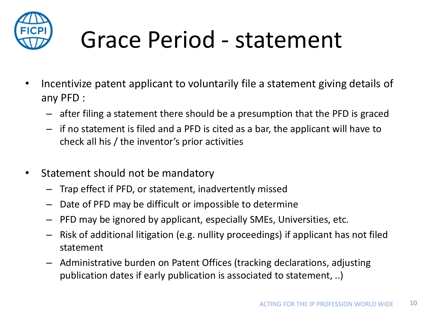

### Grace Period - statement

- Incentivize patent applicant to voluntarily file a statement giving details of any PFD :
	- after filing a statement there should be a presumption that the PFD is graced
	- if no statement is filed and a PFD is cited as a bar, the applicant will have to check all his / the inventor's prior activities
- Statement should not be mandatory
	- Trap effect if PFD, or statement, inadvertently missed
	- Date of PFD may be difficult or impossible to determine
	- PFD may be ignored by applicant, especially SMEs, Universities, etc.
	- Risk of additional litigation (e.g. nullity proceedings) if applicant has not filed statement
	- Administrative burden on Patent Offices (tracking declarations, adjusting publication dates if early publication is associated to statement, ..)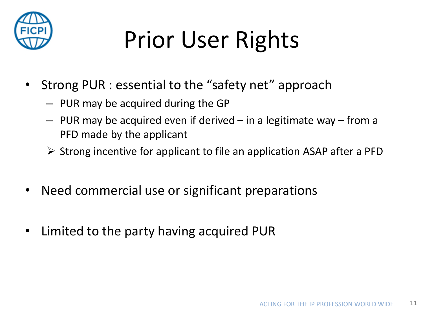

## Prior User Rights

- Strong PUR : essential to the "safety net" approach
	- PUR may be acquired during the GP
	- $-$  PUR may be acquired even if derived  $-$  in a legitimate way  $-$  from a PFD made by the applicant
	- $\triangleright$  Strong incentive for applicant to file an application ASAP after a PFD
- Need commercial use or significant preparations
- Limited to the party having acquired PUR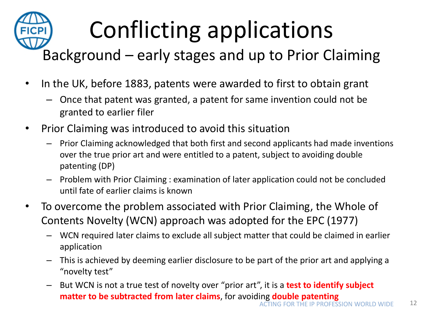#### Conflicting applications Background – early stages and up to Prior Claiming

- In the UK, before 1883, patents were awarded to first to obtain grant
	- Once that patent was granted, a patent for same invention could not be granted to earlier filer
- Prior Claiming was introduced to avoid this situation
	- Prior Claiming acknowledged that both first and second applicants had made inventions over the true prior art and were entitled to a patent, subject to avoiding double patenting (DP)
	- Problem with Prior Claiming : examination of later application could not be concluded until fate of earlier claims is known
- To overcome the problem associated with Prior Claiming, the Whole of Contents Novelty (WCN) approach was adopted for the EPC (1977)
	- WCN required later claims to exclude all subject matter that could be claimed in earlier application
	- This is achieved by deeming earlier disclosure to be part of the prior art and applying a "novelty test"
	- **FESSION WORLD WIDE** – But WCN is not a true test of novelty over "prior art", it is a **test to identify subject matter to be subtracted from later claims**, for avoiding **double patenting**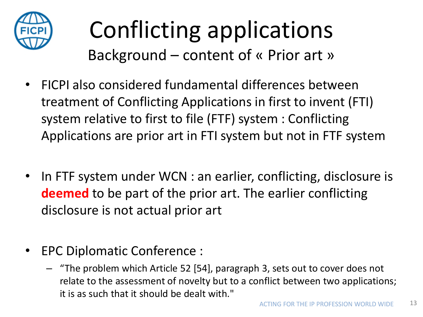

#### Conflicting applications Background – content of « Prior art »

- FICPI also considered fundamental differences between treatment of Conflicting Applications in first to invent (FTI) system relative to first to file (FTF) system : Conflicting Applications are prior art in FTI system but not in FTF system
- In FTF system under WCN : an earlier, conflicting, disclosure is **deemed** to be part of the prior art. The earlier conflicting disclosure is not actual prior art
- EPC Diplomatic Conference :
	- "The problem which Article 52 [54], paragraph 3, sets out to cover does not relate to the assessment of novelty but to a conflict between two applications; it is as such that it should be dealt with."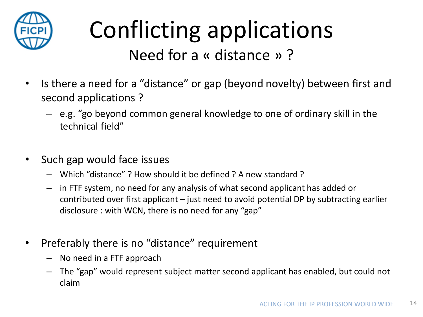

#### Conflicting applications Need for a « distance » ?

- Is there a need for a "distance" or gap (beyond novelty) between first and second applications ?
	- e.g. "go beyond common general knowledge to one of ordinary skill in the technical field"
- Such gap would face issues
	- Which "distance" ? How should it be defined ? A new standard ?
	- in FTF system, no need for any analysis of what second applicant has added or contributed over first applicant – just need to avoid potential DP by subtracting earlier disclosure : with WCN, there is no need for any "gap"
- Preferably there is no "distance" requirement
	- No need in a FTF approach
	- The "gap" would represent subject matter second applicant has enabled, but could not claim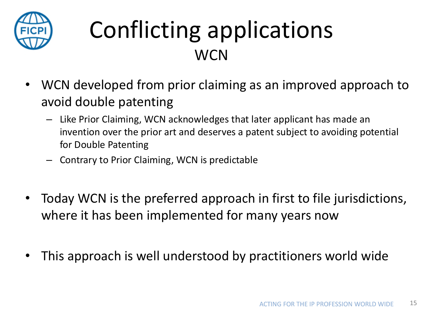

#### Conflicting applications **WCN**

- WCN developed from prior claiming as an improved approach to avoid double patenting
	- Like Prior Claiming, WCN acknowledges that later applicant has made an invention over the prior art and deserves a patent subject to avoiding potential for Double Patenting
	- Contrary to Prior Claiming, WCN is predictable
- Today WCN is the preferred approach in first to file jurisdictions, where it has been implemented for many years now
- This approach is well understood by practitioners world wide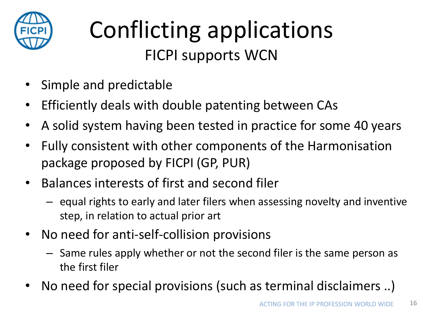

#### Conflicting applications FICPI supports WCN

- Simple and predictable
- Efficiently deals with double patenting between CAs
- A solid system having been tested in practice for some 40 years
- Fully consistent with other components of the Harmonisation package proposed by FICPI (GP, PUR)
- Balances interests of first and second filer
	- equal rights to early and later filers when assessing novelty and inventive step, in relation to actual prior art
- No need for anti-self-collision provisions
	- Same rules apply whether or not the second filer is the same person as the first filer
- No need for special provisions (such as terminal disclaimers ..)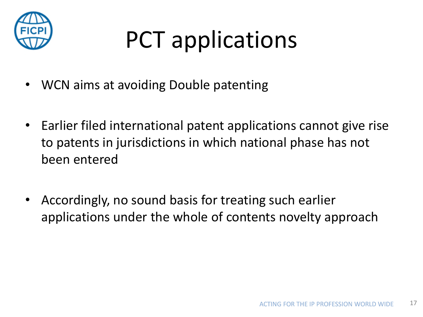

# PCT applications

- WCN aims at avoiding Double patenting
- Earlier filed international patent applications cannot give rise to patents in jurisdictions in which national phase has not been entered
- Accordingly, no sound basis for treating such earlier applications under the whole of contents novelty approach